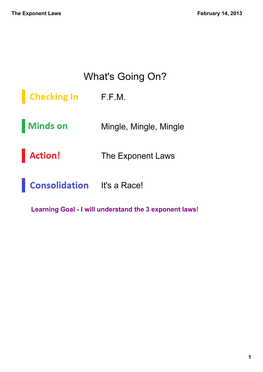#### What's Going On?

Checking In F.F.M.

Minds on Mingle, Mingle, Mingle

Action! The Exponent Laws

**Consolidation** It's a Race!

Learning Goal - I will understand the 3 exponent laws!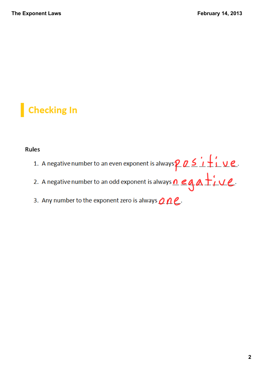**Checking In** 

#### Rules

- 1. A negative number to an even exponent is always  $\overline{p}$   $\overline{p}$   $\overline{p}$   $\overline{p}$   $\overline{p}$   $\overline{p}$   $\overline{p}$ .<br>2. A negative number to an odd exponent is always  $\overline{p}$   $\overline{e}$   $\overline{q}$   $\overline{p}$   $\overline{p}$   $\overline{p}$ .
- 
- 3. Any number to the exponent zero is always  $\rho$   $\rho$   $e$ .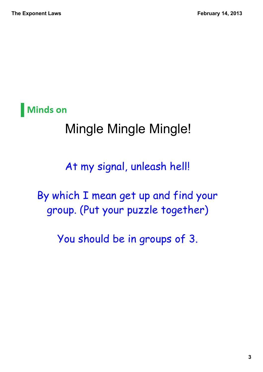**Minds on** 

#### Mingle Mingle Mingle!

At my signal, unleash hell!

By which I mean get up and find your group. (Put your puzzle together)

You should be in groups of 3.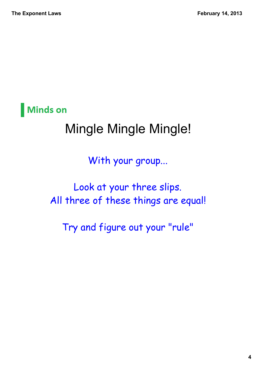**Minds on** 

## Mingle Mingle Mingle!

With your group...

Look at your three slips. All three of these things are equal!

Try and figure out your "rule"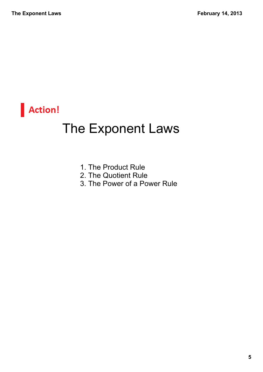

#### The Exponent Laws

- 1. The Product Rule
- 2. The Quotient Rule
- 3. The Power of a Power Rule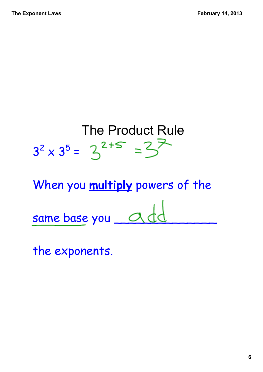

the exponents.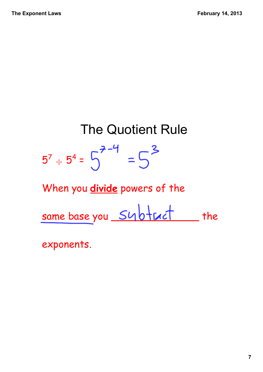# The Quotient Rule 5 $^7$   $\div$  5<sup>4</sup> =

When you **divide** powers of the

same base you Subtruct the

exponents.